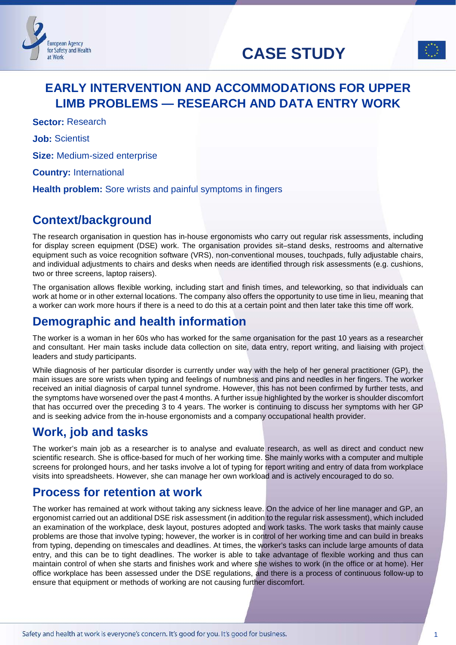# **CASE STUDY**



# **EARLY INTERVENTION AND ACCOMMODATIONS FOR UPPER LIMB PROBLEMS — RESEARCH AND DATA ENTRY WORK**

**Sector:** Research

**European Agency** for Safety and Health

at Work

**Job:** Scientist

**Size:** Medium-sized enterprise

**Country:** International

**Health problem:** Sore wrists and painful symptoms in fingers

# **Context/background**

The research organisation in question has in-house ergonomists who carry out regular risk assessments, including for display screen equipment (DSE) work. The organisation provides sit–stand desks, restrooms and alternative equipment such as voice recognition software (VRS), non-conventional mouses, touchpads, fully adjustable chairs, and individual adjustments to chairs and desks when needs are identified through risk assessments (e.g. cushions, two or three screens, laptop raisers).

The organisation allows flexible working, including start and finish times, and teleworking, so that individuals can work at home or in other external locations. The company also offers the opportunity to use time in lieu, meaning that a worker can work more hours if there is a need to do this at a certain point and then later take this time off work.

# **Demographic and health information**

The worker is a woman in her 60s who has worked for the same organisation for the past 10 years as a researcher and consultant. Her main tasks include data collection on site, data entry, report writing, and liaising with project leaders and study participants.

While diagnosis of her particular disorder is currently under way with the help of her general practitioner (GP), the main issues are sore wrists when typing and feelings of numbness and pins and needles in her fingers. The worker received an initial diagnosis of carpal tunnel syndrome. However, this has not been confirmed by further tests, and the symptoms have worsened over the past 4 months. A further issue highlighted by the worker is shoulder discomfort that has occurred over the preceding 3 to 4 years. The worker is continuing to discuss her symptoms with her GP and is seeking advice from the in-house ergonomists and a company occupational health provider.

# **Work, job and tasks**

The worker's main job as a researcher is to analyse and evaluate research, as well as direct and conduct new scientific research. She is office-based for much of her working time. She mainly works with a computer and multiple screens for prolonged hours, and her tasks involve a lot of typing for report writing and entry of data from workplace visits into spreadsheets. However, she can manage her own workload and is actively encouraged to do so.

# **Process for retention at work**

The worker has remained at work without taking any sickness leave. On the advice of her line manager and GP, an ergonomist carried out an additional DSE risk assessment (in addition to the regular risk assessment), which included an examination of the workplace, desk layout, postures adopted and work tasks. The work tasks that mainly cause problems are those that involve typing; however, the worker is in control of her working time and can build in breaks from typing, depending on timescales and deadlines. At times, the worker's tasks can include large amounts of data entry, and this can be to tight deadlines. The worker is able to take advantage of flexible working and thus can maintain control of when she starts and finishes work and where she wishes to work (in the office or at home). Her office workplace has been assessed under the DSE regulations, and there is a process of continuous follow-up to ensure that equipment or methods of working are not causing further discomfort.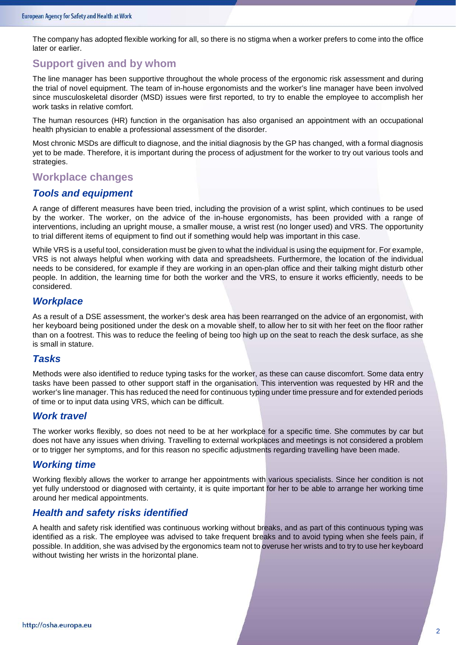The company has adopted flexible working for all, so there is no stigma when a worker prefers to come into the office later or earlier.

### **Support given and by whom**

The line manager has been supportive throughout the whole process of the ergonomic risk assessment and during the trial of novel equipment. The team of in-house ergonomists and the worker's line manager have been involved since musculoskeletal disorder (MSD) issues were first reported, to try to enable the employee to accomplish her work tasks in relative comfort.

The human resources (HR) function in the organisation has also organised an appointment with an occupational health physician to enable a professional assessment of the disorder.

Most chronic MSDs are difficult to diagnose, and the initial diagnosis by the GP has changed, with a formal diagnosis yet to be made. Therefore, it is important during the process of adjustment for the worker to try out various tools and strategies.

### **Workplace changes**

#### *Tools and equipment*

A range of different measures have been tried, including the provision of a wrist splint, which continues to be used by the worker. The worker, on the advice of the in-house ergonomists, has been provided with a range of interventions, including an upright mouse, a smaller mouse, a wrist rest (no longer used) and VRS. The opportunity to trial different items of equipment to find out if something would help was important in this case.

While VRS is a useful tool, consideration must be given to what the individual is using the equipment for. For example, VRS is not always helpful when working with data and spreadsheets. Furthermore, the location of the individual needs to be considered, for example if they are working in an open-plan office and their talking might disturb other people. In addition, the learning time for both the worker and the VRS, to ensure it works efficiently, needs to be considered.

#### *Workplace*

As a result of a DSE assessment, the worker's desk area has been rearranged on the advice of an ergonomist, with her keyboard being positioned under the desk on a movable shelf, to allow her to sit with her feet on the floor rather than on a footrest. This was to reduce the feeling of being too high up on the seat to reach the desk surface, as she is small in stature.

#### *Tasks*

Methods were also identified to reduce typing tasks for the worker, as these can cause discomfort. Some data entry tasks have been passed to other support staff in the organisation. This intervention was requested by HR and the worker's line manager. This has reduced the need for continuous typing under time pressure and for extended periods of time or to input data using VRS, which can be difficult.

#### *Work travel*

The worker works flexibly, so does not need to be at her workplace for a specific time. She commutes by car but does not have any issues when driving. Travelling to external workplaces and meetings is not considered a problem or to trigger her symptoms, and for this reason no specific adjustments regarding travelling have been made.

#### *Working time*

Working flexibly allows the worker to arrange her appointments with various specialists. Since her condition is not yet fully understood or diagnosed with certainty, it is quite important for her to be able to arrange her working time around her medical appointments.

#### *Health and safety risks identified*

A health and safety risk identified was continuous working without breaks, and as part of this continuous typing was identified as a risk. The employee was advised to take frequent breaks and to avoid typing when she feels pain, if possible. In addition, she was advised by the ergonomics team not to overuse her wrists and to try to use her keyboard without twisting her wrists in the horizontal plane.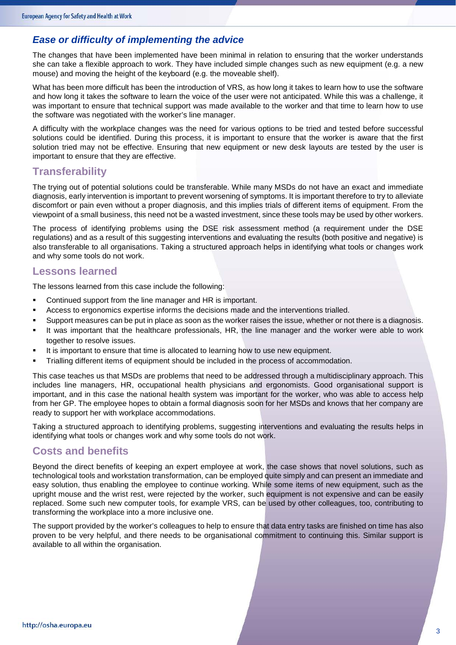### *Ease or difficulty of implementing the advice*

The changes that have been implemented have been minimal in relation to ensuring that the worker understands she can take a flexible approach to work. They have included simple changes such as new equipment (e.g. a new mouse) and moving the height of the keyboard (e.g. the moveable shelf).

What has been more difficult has been the introduction of VRS, as how long it takes to learn how to use the software and how long it takes the software to learn the voice of the user were not anticipated. While this was a challenge, it was important to ensure that technical support was made available to the worker and that time to learn how to use the software was negotiated with the worker's line manager.

A difficulty with the workplace changes was the need for various options to be tried and tested before successful solutions could be identified. During this process, it is important to ensure that the worker is aware that the first solution tried may not be effective. Ensuring that new equipment or new desk layouts are tested by the user is important to ensure that they are effective.

### **Transferability**

The trying out of potential solutions could be transferable. While many MSDs do not have an exact and immediate diagnosis, early intervention is important to prevent worsening of symptoms. It is important therefore to try to alleviate discomfort or pain even without a proper diagnosis, and this implies trials of different items of equipment. From the viewpoint of a small business, this need not be a wasted investment, since these tools may be used by other workers.

The process of identifying problems using the DSE risk assessment method (a requirement under the DSE regulations) and as a result of this suggesting interventions and evaluating the results (both positive and negative) is also transferable to all organisations. Taking a structured approach helps in identifying what tools or changes work and why some tools do not work.

### **Lessons learned**

The lessons learned from this case include the following:

- Continued support from the line manager and HR is important.
- **Access to ergonomics expertise informs the decisions made and the interventions trialled.**
- Support measures can be put in place as soon as the worker raises the issue, whether or not there is a diagnosis.
- It was important that the healthcare professionals, HR, the line manager and the worker were able to work together to resolve issues.
- It is important to ensure that time is allocated to learning how to use new equipment.
- Trialling different items of equipment should be included in the process of accommodation.

This case teaches us that MSDs are problems that need to be addressed through a multidisciplinary approach. This includes line managers, HR, occupational health physicians and ergonomists. Good organisational support is important, and in this case the national health system was important for the worker, who was able to access help from her GP. The employee hopes to obtain a formal diagnosis soon for her MSDs and knows that her company are ready to support her with workplace accommodations.

Taking a structured approach to identifying problems, suggesting interventions and evaluating the results helps in identifying what tools or changes work and why some tools do not work.

### **Costs and benefits**

Beyond the direct benefits of keeping an expert employee at work, the case shows that novel solutions, such as technological tools and workstation transformation, can be employed quite simply and can present an immediate and easy solution, thus enabling the employee to continue working. While some items of new equipment, such as the upright mouse and the wrist rest, were rejected by the worker, such equipment is not expensive and can be easily replaced. Some such new computer tools, for example VRS, can be used by other colleagues, too, contributing to transforming the workplace into a more inclusive one.

The support provided by the worker's colleagues to help to ensure that data entry tasks are finished on time has also proven to be very helpful, and there needs to be organisational commitment to continuing this. Similar support is available to all within the organisation.